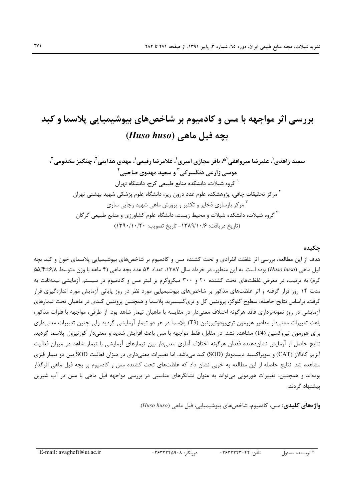#### چکىدە

هدف از این مطالعه، بررسی اثر غلظت انفرادی و تحت کشنده مس و کادمیوم بر شاخصهای بیوشیمیایی پلاسمای خون و کبد بچه فیل ماهی (Huso huso) بوده است. به این منظور، در خرداد سال ۱۳۸۷، تعداد ۵۴ عدد بچه ماهی (۴ ماهه با وزن متوسط ۵۵/۴±۶/۸ گرم) به ترتیب، در معرض غلظتهای تحت کشنده ۲۰ و ۳۰۰ میکروگرم بر لیتر مس و کادمیوم در سیستم آزمایشی نیمهثابت به مدت ۱۴ روز قرار گرفته و اثر غلظتهای مذکور بر شاخصهای بیوشیمیایی مورد نظر در روز پایانی آزمایش مورد اندازهگیری قرار گرفت. براساس نتایج حاصله، سطوح گلوکز، پروتئین کل و تریگلیسیرید پلاسما و همچنین پروتئین کبدی در ماهیان تحت تیمارهای آزمایشی در روز نمونهبرداری فاقد هرگونه اختلاف معنیدار در مقایسه با ماهیان تیمار شاهد بود. از طرفی، مواجهه با فلزات مذکور، باعث تغییرات معنیدار مقادیر هورمون تری یودوتیرونین (T3) پلاسما در هر دو تیمار آزمایشی گردید ولی چنین تغییرات معنیداری برای هورمون تیروکسین (T4) مشاهده نشد. در مقابل، فقط مواجهه با مس باعث افزایش شدید و معنیدار کورتیزول پلاسما گردید. نتايج حاصل از آزمايش نشاندهنده فقدان هرگونه اختلاف آماري معنىدار بين تيمارهاي آزمايشي با تيمار شاهد در ميزان فعاليت آنزیم کاتالاز (CAT) و سوپراکسید دیسموتاز (SOD) کبد میباشد. اما تغییرات معنیداری در میزان فعالیت SOD بین دو تیمار فلزی مشاهده شد. نتایج حاصله از این مطالعه به خوبی نشان داد که غلظتهای تحت کشنده مس و کادمیوم بر بچه فیل ماهی اثرگذار بودهاند و همچنین، تغییرات هورمونی میتواند به عنوان نشانگرهای مناسبی در بررسی مواجهه فیل ماهی با مس در آب شیرین ییشنهاد گردند.

**واژەهای کلیدی:** مس، کادمیوم، شاخصهای بیوشیمیایی، فیل ماهی (Huso huso).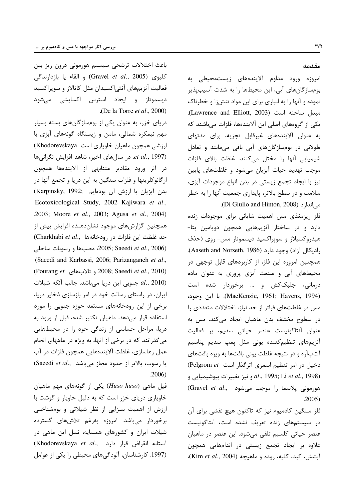باعث اختلالات ترشحي سيستم هورموني درون ريز بين كليوى (Gravel et al., 2005) و القاء يا بازدارندگى فعالیت آنزیمهای آنتی|کسیدان مثل کاتالاز و سوپراکسید دیسموتاز و ایجاد استرس اکسایشی میشود .(De la Torre  $et$  al., 2000)

دریای خزر، به عنوان یکی از بومسازگانهای بسته بسیار مهم نیمکره شمالی، مامن و زیستگاه گونههای آبزی با ارزشی همچون ماهیان خاویاری است Khodorevskaya) et al., 1997). در سال های اخیر، شاهد افزایش نگرانی ها در اثر ورود مقادیر متنابهی از آلایندهها همچون ارگانوکلرينها و فلزات سنگين به اين دريا و تجمع آنها در بدن آبزیان با ارزش آن بودهایم (Karpinsky, 1992; Ecotoxicological Study, 2002 Kajiwara et al., .2003; Moore et al., 2003; Agusa et al., 2004) همچنین گزارشهای موجود نشاندهنده افزایش بیش از حد غلظت این فلزات در رودخانهها ..Charkhabi et al (2006) 2005; Saeedi et al., 2006، مصبها و رسوبات ساحلى (Saeedi and Karbassi, 2006; Parizanganeh et al., (Pourang et <sub>e</sub> تالابهای 2008; Saeedi et al., 2010) al., 2010) جنوبی این دریا میباشد. جالب آنکه شیلات ایران، در راستای رسالت خود در امر بازسازی ذخایر دریا، برخی از این رودخانههای مستعد حوزه جنوبی را مورد استفاده قرار مىدهد. ماهيان تكثير شده، قبل از ورود به دریا، مراحل حساسی از زندگی خود را در محیطهایی میگذرانند که در برخی از آنها، به ویژه در ماههای انجام عمل رهاسازی، غلظت آلایندههایی همچون فلزات در آب یا رسوب، بالاتر از حدود مجاز میباشد .Saeedi et al.,  $.2006)$ 

فیل ماهی (Huso huso) یکی از گونههای مهم ماهیان خاویاری دریای خزر است که به دلیل خاویار و گوشت با ارزش از اهمیت بسزایی از نظر شیلاتی و بومشناختی برخوردار مى باشد. امروزه بهرغم تلاش هاى گسترده شیلات ایران و کشورهای همسایه، نسل این ماهی در (Khodorevskaya et al., استانه انقراض قرار دارد) (1997. كارشناسان، آلودگیهای محیطی را یکی از عوامل

#### مقدمه

امروزه ورود مداوم آلایندههای زیستمحیطی به بومسازگانهای آبی، این محیطها را به شدت آسیبپذیر نموده و آنها را به انباری برای این مواد تنش;ا و خطرناک مبدل ساخته است (Lawrence and Elliott, 2003). یکی از گروههای اصلی این آلایندهها، فلزات میباشند که به عنوان آلایندههای غیرقابل تجزیه، برای مدتهای طولانی در بومسازگانهای آبی باقی میمانند و تعادل شيميايي آنها را مختل مي كنند. غلظت بالاي فلزات موجب تهدید حیات آبزیان میشود و غلظتهای پایین نیز با ایجاد تجمع زیستی در بدن انواع موجودات آبزی، سلامت و در سطح بالاتر، پایداری جمعیت آنها را به خطر می|ندازد (Di Giulio and Hinton, 2008).

فلز ریزمغذی مس اهمیت شایانی برای موجودات زنده دارد و در ساختار آنزیمهایی همچون دوپامین بتا-هیدروکسیلاز و سوپراکسید دیسموتاز مس- روی (حذف , ادیکال آزاد) وجود دارد (Aaseth and Norseth, 1986). همچنین امروزه این فلز، از کاربردهای قابل توجهی در محیطهای آبی و صنعت آبزی پروری به عنوان ماده درمانی، جلبککش و … برخوردار شده است (MacKenzie, 1961; Havens, 1994). با اين وجود، مس در غلظتهای فراتر از حد نیاز، اختلالات متعددی را در سطوح مختلف بدن ماهیان ایجاد میکند. مس به عنوان آنتاگونیست عنصر حیاتی سدیم، بر فعالیت آنزیمهای تنظیم کننده یونی مثل پمپ سدیم پتاسیم آتپآزه و در نتیجه غلظت یونی بافتها به ویژه بافتهای دخیل در امر تنظیم اسمزی اثرگذار است Pelgrom et) et al., 1998) و نيز تغييرات بيوشيميايي و al., 1995; Li et al., 1998) هورمونی پلاسما را موجب میشود .Gravel et al.,  $.2005)$ 

فلز سنگین کادمیوم نیز که تاکنون هیچ نقشی برای آن در سیستمهای زنده تعریف نشده است، آنتاگونیست عنصر حیاتی کلسیم تلقی می شود. این عنصر در ماهیان علاوه بر ایجاد تجمع زیستی در اندامهایی همچون آبشش، كبد، كليه، روده و ماهيچه (Kim et al., 2004)،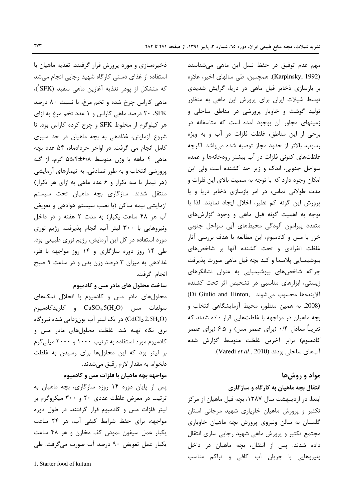ذخیرهسازی و مورد پرورش قرار گرفتند. تغذیه ماهیان با استفاده از غذای دستی کارگاه شهید رجایی انجام میشد که متشکل از پودر تغذیه آغازین ماهی سفید (SFK)، ماهی کاراس چرخ شده و تخم مرغ، با نسبت ۸۰ درصد ۲۰ SFK درصد ماهی کاراس و ۱ عدد تخم مرغ به ازای هر کیلوگرم از مخلوط SFK و چرخ کرده کاراس بود. تا شروع آزمایش، غذادهی به بچه ماهیان در حد سیری کامل انجام می گرفت. در اواخر خردادماه، ۵۴ عدد بچه ماهی ۴ ماهه با وزن متوسط ۵۵/۴±۶/۸ گرم، از گله پرورشی انتخاب و به طور تصادفی، به تیمارهای آزمایشی (هر تیمار با سه تکرار و ۶ عدد ماهی به ازای هر تکرار) منتقل شدند. سازگاری بچه ماهیان تحت سیستم آزمایشی نیمه ساکن (با نصب سیستم هوادهی و تعویض آب هر ۴۸ ساعت یکبار) به مدت ۲ هفته و در داخل ونیروهایی با ۳۰۰ لیتر آب، انجام پذیرفت. رژیم نوری مورد استفاده در کل این آزمایش، رژیم نوری طبیعی بود. طی ۱۴ روز دوره سازگاری و ۱۴ روز مواجهه با فلز، غذادهی به میزان ۳ درصد وزن بدن و در ساعت ۹ صبح انجام گرفت.

## ساخت محلول های مادر مس و کادمیوم

محلول های مادر مس و کادمیوم با انحلال نمکهای  $CuSO<sub>4</sub>$ .5(H<sub>2</sub>O) و كلريدكادميوم در یک لیتر آب یونزدایی شده نیروگاه (CdCl<sub>2</sub>.2.5H<sub>2</sub>O) برق نكاء تهيه شد. غلظت محلولهاى مادر مس و کادمیوم مورد استفاده به ترتیب ۱۰۰۰ و ۲۰۰۰ میلی گرم بر ليتر بود كه اين محلولها براي رسيدن به غلظت دلخواه، به مقدار لازم رقیق می شدند.

# مواجهه بچه ماهیان با فلزات مس و کادمیوم

پس از پایان دوره ۱۴ روزه سازگاری، بچه ماهیان به ترتیب در معرض غلظت عددی ۲۰ و ۳۰۰ میکروگرم بر لیتر فلزات مس و کادمیوم قرار گرفتند. در طول دوره مواجهه، برای حفظ شرایط کیفی آب، هر ۲۴ ساعت یکبار عمل سیفون نمودن کف مخازن و هر ۴۸ ساعت یکبار عمل تعویض ۹۰ درصد آب صورت می گرفت. طی

مهم عدم توفیق در حفظ نسل این ماهی میشناسند (Karpinsky, 1992). همچنین، طی سالهای اخیر، علاوه بر بازسازی ذخایر فیل ماهی در دریا، گرایش شدیدی توسط شیلات ایران برای پرورش این ماهی به منظور تولید گوشت و خاویار پرورشی در مناطق ساحلی و زمینهای مجاور آن بوجود آمده است که متاسفانه در برخي از اين مناطق، غلظت فلزات در آب و به ويژه رسوب، بالاتر از حدود مجاز توصيه شده مىباشد. اگرچه غلظتهای کنونی فلزات در آب بیشتر رودخانهها و عمده سواحل جنوبی، اندک و زیر حد کشنده است ولی این امکان وجود دارد که با توجه به سمیت بالای این فلزات و مدت طولانی تماس، در امر بازسازی ذخایر دریا و یا پرورش این گونه کم نظیر، اخلال ایجاد نمایند. لذا با توجه به اهمیت گونه فیل ماهی و وجود گزارشهای متعدد پیرامون آلودگی محیطهای آبی سواحل جنوبی خزر با مس و کادمیوم، این مطالعه با هدف بررسی آثار غلظت انفرادی و تحت کشنده آنها بر شاخصهای بیوشیمیایی پلاسما و کبد بچه فیل ماهی صورت پذیرفت چراکه شاخصهای بیوشیمیایی به عنوان نشانگرهای زیستی، ابزارهای مناسبی در تشخیص اثر تحت کشنده Di Giulio and Hinton, الايندهها محسوب مى شوند (2008. به همین منظور، محیط آزمایشگاهی انتخاب و بچه ماهیان در مواجهه با غلظتهایی قرار داده شدند که تقریباً معادل ۰/۴ (برای عنصر مس) و ۶.۵ (برای عنصر كادميوم) برابر آخرين غلظت متوسط گزارش شده آبهای ساحلی بودند (Varedi et al., 2010).

# مواد و روشها

انتقال بچه ماهیان به کارگاه و سازگاری

ابتدا، در اردیبهشت سال ۱۳۸۷، بچه فیل ماهیان از مرکز تکثیر و پرورش ماهیان خاویاری شهید مرجانی استان گلستان به سالن ونیروی پرورش بچه ماهیان خاویاری مجتمع تكثير و پرورش ماهي شهيد رجايي ساري انتقال داده شدند. پس از انتقال، بچه ماهیان در داخل ونیروهایی با جریان آب کافی و تراکم مناسب

<sup>1.</sup> Starter food of kutum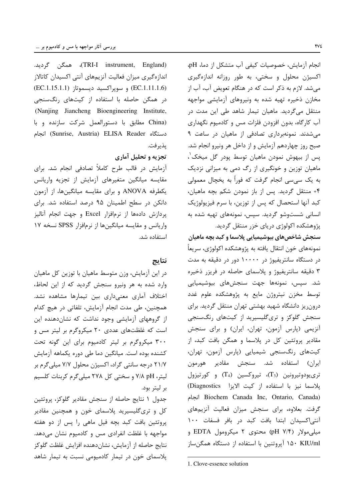انجام آزمایش، خصوصیات کیفی آب متشکل از دما، pH، اکسیژن محلول و سختی، به طور روزانه اندازهگیری می شد. لازم به ذکر است که در هنگام تعویض آب، آب از مخازن ذخیره تهیه شده به ونیروهای آزمایشی مواجهه منتقل می گردید. ماهیان تیمار شاهد طی این مدت در آب کارگاه، بدون افزودن فلزات مس و کادمیوم نگهداری می شدند. نمونهبرداری تصادفی از ماهیان در ساعت ۹ صبح روز چهاردهم آزمایش و از داخل هر ونیرو انجام شد. پس از بیهوش نمودن ماهیان توسط پودر گل میخک $\langle \rangle$ ماهیان توزین و خونگیری از رگ دمی به میزانی نزدیک به یک سی،سی انجام گرفت که فوراً به یخچال معمولی ۴+ منتقل گردید. پس از باز نمودن شکم بچه ماهیان، کبد آنها استحصال که پس از توزین، با سرم فیزیولوژیک انسانی شستوشو گردید. سپس، نمونههای تهیه شده به پژوهشکده اکولوژی دریای خزر منتقل گردید.

سنجش شاخصهای بیوشیمیایی پلاسما و کبد بچه ماهیان نمونههای خون انتقال یافته به پژوهشکده اکولوژی، سریعاً در دستگاه سانتریفیوژ در ۱۰۰۰۰ دور در دقیقه به مدت ۳ دقیقه سانتریفیوژ و پلاسمای حاصله در فریزر ذخیره شد. سیس، نمونهها جهت سنجشهای بیوشیمیایی توسط مخزن نیتروژن مایع به پژوهشکده علوم غدد درونریز دانشگاه شهید بهشتی تهران منتقل گردید. برای سنجش گلوکز و تریگلیسیرید از کیتهای رنگسنجی آنزیمی (پارس آزمون، تهران، ایران) و برای سنجش مقادیر پروتئین کل در پلاسما و همگن بافت کبد، از كيتهاى رنگسنجى شيميايى (پارس آزمون، تهران، ايران) استفاده شد. سنجش مقادير هورمون  $(T_3)$ تری یودوتیرونین ( $(T_3)$ ، تیروکسین ( $T_4$ ) و کورتیزول پلاسما نيز با استفاده از كيت الايزا Diagnostics) Biochem Canada Inc, Ontario, Canada) انجام گرفت. بعلاوه، برای سنجش میزان فعالیت آنزیمهای آنتی|کسیدان ابتدا بافت کبد در بافر فسفات ۱۰۰ میلیمولار (۱/۴ pH) محتوی ۲ میکرومول EDTA و ۱۵۰ KIU/ml وروتنين با استفاده از دستگاه همگنساز

(TRI-I instrument, England)، همگن گردید. اندازه گیری میزان فعالیت آنزیمهای آنتی اکسیدان کاتالاز (EC.1.11.1.6) و سويراكسيد ديسموتاز (EC.1.15.1.1) در همگن حاصله با استفاده از کیتهای رنگسنجی (Nanjing Jiancheng Bioengineering Institute, (China مطابق با دستورالعمل شركت سازنده و با دستگاه Sunrise, Austria) ELISA Reader) انجام پذيرفت.

## تجزیه و تحلیل آماری

آزمایش در قالب طرح کاملاً تصادفی انجام شد. برای مقایسه میانگین متغیرهای آزمایش از تجزیه واریانس یکطرفه ANOVA و برای مقایسه میانگینها، از آزمون دانکن در سطح اطمینان ۹۵ درصد استفاده شد. برای یردازش دادهها از نرمافزار Excel و جهت انجام آنالیز واریانس و مقایسه میانگینها از نرمافزار SPSS نسخه ۱۷ استفاده شد.

#### نتايج

در این آزمایش، وزن متوسط ماهیان با توزین کل ماهیان وارد شده به هر ونیرو سنجش گردید که از این لحاظ، اختلاف آماری معنیداری بین تیمارها مشاهده نشد. همچنین، طی مدت انجام آزمایش، تلفاتی در هیچ کدام از گروههای آزمایشی وجود نداشت که نشاندهنده این است که غلظتهای عددی ۲۰ میکروگرم بر لیتر مس و ٣٠٠ ميكروكرم بر ليتر كادميوم براي اين كونه تحت كشنده بوده است. ميانگين دما طي دوره يكماهه آزمايش ٢١/٧ درجه سانتي گراد، اکسيژن محلول ٧/٧ ميلي گرم بر لیتر، V/A pH و سختی کل ۲۷۸ میلی گرم کربنات کلسیم بر ليتر بود.

جدول ١ نتايج حاصله از سنجش مقادير گلوكز، پروتئين کل و تریگلیسیرید پلاسمای خون و همچنین مقادیر پروتئین بافت کبد بچه فیل ماهی را پس از دو هفته مواجهه با غلظت انفرادی مس و کادمیوم نشان می دهد. نتايج حاصله از آزمايش، نشاندهنده افزايش غلظت گلوكز پلاسمای خون در تیمار کادمیومی نسبت به تیمار شاهد

<sup>1.</sup> Clove-essence solution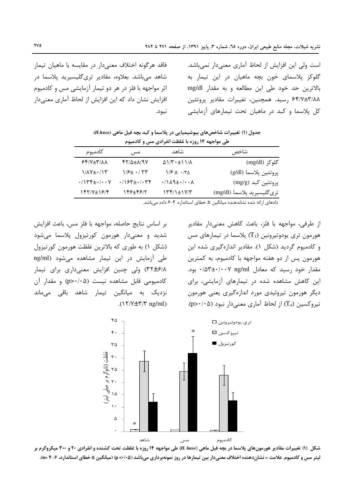است ولی این افزایش از لحاظ آماری معنی دار نمی باشد. گلوکز پلاسمای خون بچه ماهیان در این تیمار به بالاترین حد خود طی این مطالعه و به مقدار mg/dl ۶۴/۷±۳/۸۸ رسید. همچنین، تغییرات مقادیر پروتئین کل پلاسما و کبد در ماهیان تحت تیمارهای آزمایشی

فاقد هرگونه اختلاف معنیٍدار در مقایسه با ماهیان تیمار شاهد میباشد. بعلاوه، مقادیر تریگلیسیرید پلاسما در اثر مواجهه با فلز در هر دو تیمار آزمایشی مس و کادمیوم افزایش نشان داد که این افزایش از لحاظ آماری معنیدار نبود.

جدول (۱) تغییرات شاخصهای بیوشیمیایی در پلاسما و کبد بچه فیل ماهی (H.huso) ط مواجهه ١٤ مزه با غلظت انفرادي مس و كادميوم

| نسي <del>مون جهت ۱۱۰ زور د د است که استرات کی مس</del> و استخدام م |                                                          |                            |
|--------------------------------------------------------------------|----------------------------------------------------------|----------------------------|
| مس                                                                 | شاهد                                                     | شاخص                       |
| $Y/\Delta \pm \lambda$ /9Y                                         | $\Delta$ $\frac{N + 1}{N}$                               | گلوکز (mg/dl)              |
| $1/5$ $+$ $\cdot$ $/$ $\uparrow$ $\uparrow$                        | $1/5 \pm 1.00$                                           | پروتئين پلاسما (g/dl)      |
| $\cdot$ /\ $54 + \cdot$ / $\cdot$ $44$                             | $\cdot$ /\ $\lambda$ ٩ $\pm$ $\cdot$ / $\cdot$ $\lambda$ | پروتئین کبد (mg/g)         |
| 148±4817                                                           | $Y^{\mu}$ / $\pm$ $Y^{\mu}$                              | ترىگليسيريد پلاسما (mg/dl) |
|                                                                    |                                                          |                            |

دادهای ارائه شده نشاندهنده میانگین ± خطای استاندارد ۴-۶ داده میباشد.

از طرفی، مواجهه با فلز، باعث کاهش معنیدار مقادیر هورمون تری یودوتیرونین (T3) پلاسما در تیمارهای مس و کادمیوم گردید (شکل ۱). مقادیر اندازهگیری شده این هورمون پس از دو هفته مواجهه با کادمیوم، به کمترین مقدار خود رسید که معادل ۰/۵۳±۰/۰۰۷ بود. این کاهش مشاهده شده در تیمارهای آزمایشی، برای دیگر هورمون تیروئیدی مورد اندازهگیری یعنی هورمون تیروکسین (T4) از لحاظ آماری معنیدار نبود (p>۰/۰۵).

بر اساس نتايج حاصله، مواجهه با فلز مس، باعث افزايش شدید و معنیدار هورمون کورتیزول پلاسما میشود (شکل ۱) به طوری که بالاترین غلظت هورمون کورتیزول طی آزمایش در این تیمار مشاهده می شود (ng/ml ٣٢±۶/٨) ولي چنين افزايش معنىدارى براى تيمار کادمیومی قابل مشاهده نیست (p>٠/٠۵) و مقدار آن نزدیک به میانگین تیمار شاهد باقی میماند .( $\frac{\Upsilon}{\Upsilon}$ 



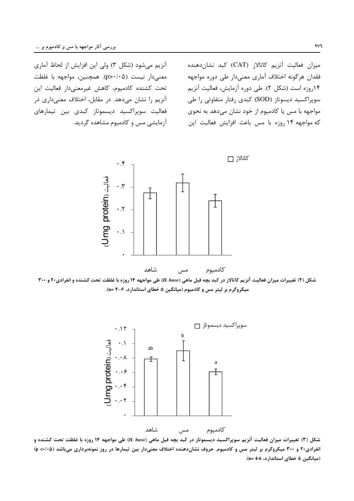آنزیم می شود (شکل ۳) ولی این افزایش از لحاظ آماری معنى دار نيست (p>٠/٠۵). همچنين، مواجهه با غلظت تحت كشنده كادميوم، كاهش غيرمعنىدار فعاليت اين آنزیم را نشان می دهد. در مقابل، اختلاف معنی داری در فعالیت سوپراکسید دیسموتاز کبدی بین تیمارهای آزمایشی مس و کادمیوم مشاهده گردید. میزان فعالیت آنزیم کاتالاز (CAT) کبد نشاندهنده فقدان هرگونه اختلاف آماری معنیدار طی دوره مواجهه ١۴,وزه است (شكل ٢). طي دوره آزمايش، فعاليت آنزيم سویراکسید دیسوتاز (SOD) کبدی رفتار متفاوتی را طی مواجهه با مس یا کادمیوم از خود نشان میدهد به نحوی كه مواجهه ١۴ روزه با مس باعث افزايش فعاليت اين



شکل (۲) تغییرات میزان فعالیت آنزیم کاتالاز در کبد بچه فیل ماهی (H. huso) طی مواجهه ۱۴ روزه با غلظت تحت کشنده و انفرادی۲۰ و ۳۰۰ میکروگرم بر لیتر مس و کادمیوم (میانگین ± خطای استاندارد، ۶−۴ =n).



شکل (۳) تغییرات میزان فعالیت آنزیم سوپراکسید دیسموتاز در کبد بچه فیل ماهی (H. huso) طی مواجهه ۱۴ روزه با غلظت تحت کشنده و انفرادی۲۰ و ۳۰۰ میکروگرم بر لیتر مس و کادمیوم. حروف نشاندهنده اختلاف معنیدار بین تیمارها در روز نمونهبرداری میباشد (۵۰/۰۵) (میانگین ± خطای استاندارد، 6-4=n).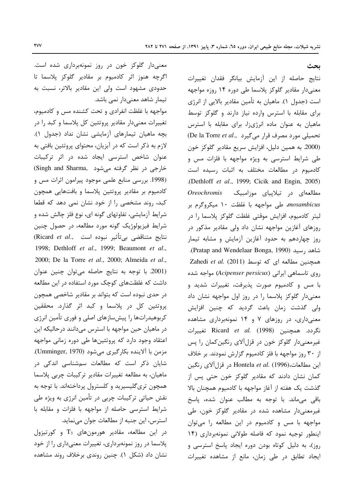بحث

نتايج حاصله از اين آزمايش بيانگر فقدان تغييرات معنیدار مقادیر گلوکز پلاسما طی دوره ۱۴ روزه مواجهه است (جدول ۱). ماهیان به تأمین مقادیر بالایی از انرژی برای مقابله با استرس وارده نیاز دارند و گلوکز توسط ماهیان به عنوان ماده انرژیزا، برای مقابله با استرس De la Torre et al., تحمیلی مورد مصرف قرار می گیرد (2000. به همين دليل، افزايش سريع مقادير گلوكز خون طی شرایط استرسی به ویژه مواجهه با فلزات مس و كادميوم در مطالعات مختلف به اثبات رسيده است .(Dethloff et al., 1999; Cicik and Engin, 2005) مطالعهای در تیلاپیای موزامبیک Oreochromis mosambicus، طی مواجهه با غلظت ١٠ میکروگرم بر ليتر كادميوم، افزايش موقتى غلظت گلوكز پلاسما را در روزهای آغازین مواجهه نشان داد ولی مقادیر مذکور در روز چهاردهم به حدود آغازین آزمایش و مشابه تیمار شاهد , سيد (Pratap and Wendelaar Bonga, 1990). Zahedi et al. (2011) كه توسط Zahedi et al. (2011) روى تاسماهى ايرانى (Acipenser persicus) مواجه شده با مس و کادمیوم صورت پذیرفت، تغییرات شدید و معنیدار گلوکز پلاسما را در روز اول مواجهه نشان داد ولی گذشت زمان باعث گردید که چنین افزایش معنیداری، در روزهای ۷ و ۱۴ نمونهبرداری مشاهده نگردد. همچنین Ricard et al. (1998) تغییرات غیرمعنیدار گلوکز خون در قزلآلای رنگین کمان را پس از ۳۰ روز مواجهه با فلز کادمیوم گزارش نمودند. بر خلاف اين مطالعات،(Hontela et al. (1996) در قزل آلاي رنگين کمان نشان دادند که مقادیر گلوکز خون حتی پس از گذشت یک هفته از آغاز مواجهه با کادمیوم همچنان بالا باقی میماند. با توجه به مطالب عنوان شده، پاسخ غیرمعنیدار مشاهده شده در مقادیر گلوکز خون، طی مواجهه با مس و کادمیوم در این مطالعه را می توان اینطور توجیه نمود که فاصله طولانی نمونهبرداری (۱۴ روز)، به دلیل کوتاه بودن دوره ایجاد پاسخ استرسی و ایجاد تطابق در طی زمان، مانع از مشاهده تغییرات

معنیدار گلوکز خون در روز نمونهبرداری شده است. اگرچه هنوز اثر كادميوم بر مقادير گلوكز پلاسما تا حدودی مشهود است ولی این مقادیر بالاتر، نسبت به تیمار شاهد معنیدار نمی باشد.

مواجهه با غلظت انفرادی و تحت کشنده مس و کادمیوم، تغییرات معنیدار مقادیر پروتئین کل پلاسما و کبد را در بچه ماهیان تیمارهای آزمایشی نشان نداد (جدول ١). لازم به ذکر است که در آبزیان، محتوای پروتئین بافتی به عنوان شاخص استرسی ایجاد شده در اثر ترکیبات خارجی در نظر گرفته میشود .Singh and Sharma (1998. بررسی منابع علمی موجود پیرامون اثرات مس و کادمیوم بر مقادیر پروتئین پلاسما و بافتهایی همچون کبد، روند مشخصی را از خود نشان نمی دهد که قطعا شرایط آزمایشی، تفاوتهای گونه ای، نوع فلز چالش شده و شرایط فیزیولوژیک گونه مورد مطالعه، در حصول چنین نتايج متناقضي بي¤أثير نبوده است ,Ricard *et al*) 1998; Dethloff et al., 1999; Beaumont et al., 2000; De la Torre et al., 2000; Almeida et al., (2001. با توجه به نتايج حاصله مي توان چنين عنوان داشت که غلظتهای کوچک مورد استفاده در این مطالعه در حدی نبوده است که بتواند بر مقادیر شاخصی همچون پروتئین کل در پلاسما و کبد اثر گذارد. محققین کربوهیدراتها را پیشسازهای اصلی و فوری تأمین انرژی در ماهیان حین مواجهه با استرس میدانند درحالیکه این اعتقاد وجود دارد که پروتئینها طی دوره زمانی مواجهه مزمن با آلاینده بکارگیری میشود (Umminger, 1970). شایان ذکر است که مطالعات سمشناسی اندکی در ماهیان، به مطالعه تغییرات مقادیر ترکیبات چربی پلاسما همچون تریگلیسیرید و کلسترول پرداختهاند. با توجه به نقش حیاتی ترکیبات چربی در تأمین انرژی به ویژه طی شرایط استرسی حاصله از مواجهه با فلزات و مقابله با استرس، این جنبه از مطالعات جوان مینماید.

 $T_3$  در این مطالعه، مقادیر هورمونهای  $T_3$  و کورتیزول پلاسما در روز نمونهبرداري، تغييرات معنىدارى را از خود نشان داد (شکل ۱). چنین روندی برخلاف روند مشاهده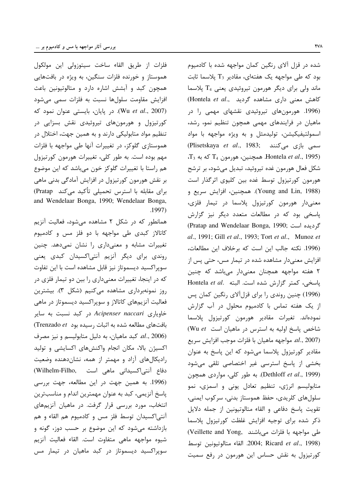فلزات از طريق القاء ساخت سيتوزولي اين مولكول هموستاز و خورنده فلزات سنگین، به ویژه در بافتهایی همچون کبد و آبشش اشاره دارد و متالوتیونین باعث افزایش مقاومت سلولها نسبت به فلزات سمی میشود (Wu et al., 2007). در پایان، بایستی عنوان نمود که کورتیزول و هورمونهای تیروئیدی نقش بسزایی در تنظیم مواد متابولیکی دارند و به همین جهت، اختلال در هموستازی گلوکز، در تغییرات آنها طی مواجهه با فلزات مهم بوده است. به طور کلی، تغییرات هورمون کورتیزول هم راستا با تغییرات گلوکز خون میباشد که این موضوع بر نقش هورمون کورتیزول در افزایش آمادگی بدنی ماهی برای مقابله با استرس تحمیلی تأکید میکند Pratap) and Wendelaar Bonga, 1990; Wendelaar Bonga, .1997)

همانطور که در شکل ۲ مشاهده میشود، فعالیت آنزیم کاتالاز کبدی طی مواجهه با دو فلز مس و کادمیوم تغییرات مشابه و معنیداری را نشان نمیدهد. چنین روندی برای دیگر آنزیم آنتیاکسیدان کبدی یعنی سوپراکسید دیسموتاز نیز قابل مشاهده است با این تفاوت که در اینجا، تغییرات معنیداری را بین دو تیمار فلزی در روز نمونەبردارى مشاھدە مى كنيم (شكل ٣). بيشترين فعالیت آنزیمهای کاتالاز و سوپراکسید دیسموتاز در ماهی خاویاری Acipenser naccari در کبد نسبت به سایر بافتهای مطالعه شده به اثبات رسیده بود Trenzado et) ر) متابوليسم و نيز مصرف C ميز مصرف Al., 2006) اکسیژن بالا، مکان انجام واکنشهای اکسایشی و تولید رادیکالهای آزاد و مهمتر از همه، نشاندهنده وضعیت دفاع آنتی اکسیدانی ماهی است . (Wilhelm-Filho) (1996. به همین جهت در این مطالعه، جهت بررسی پاسخ آنزیمی، کبد به عنوان مهمترین اندام و مناسبترین انتخاب، مورد بررسی قرار گرفت. در ماهیان آنزیمهای آنتیاکسیدان توسط فلز مس و کادمیوم هم القاء و هم بازداشته می شود که این موضوع بر حسب دوز، گونه و شيوه مواجهه ماهى متفاوت است. القاء فعاليت آنزيم سوپراکسید دیسموتاز در کبد ماهیان در تیمار مس

شده در قزل آلای رنگین کمان مواجهه شده با کادمیوم بود که طی مواجهه یک هفتهای، مقادیر  $T_3$  پلاسما ثابت ماند ولی برای دیگر هورمون تیروئیدی یعنی T<sub>4</sub> پلاسما (Hontela et al., كاهش معنى دارى مشاهده گرديد) (1996. هورمونهای تیروئیدی نقشهای مهمی را در ماهیان در فرایندهای مهمی همچون تنظیم نمو، رشد، اسمولتيفيكيشن، توليدمثل وبه ويژه مواجهه با مواد (Plisetskaya et al., 1983; سمی بازی میکنند  $T_3$  همچنین، هورمون T<sub>4</sub> که به Hontela *et al.*, 1995) شکل فعال هورمون غده تیروئید، تبدیل میشود، بر ترشح هورمون کورتیزول توسط غده بین کلیوی اثرگذار است (Young and Lin, 1988). همچنین، افزایش سریع و معنىدار هورمون كورتيزول پلاسما در تيمار فلزى، پاسخی بود که در مطالعات متعدد دیگر نیز گزارش Cratap and Wendelaar Bonga, 1990; كردىدە است al., 1991; Gill et al., 1993; Tort et al., Munoz et (1996. نكته جالب اين است كه برخلاف اين مطالعات، افزایش معنیدار مشاهده شده در تیمار مس، حتی پس از ۲ هفته مواجهه همچنان معنیدار میباشد که چنین Hontela et al. باسخى، كمتر گزارش شده است. البته (1996) چنین روندی را برای قزل آلای رنگین کمان پس از یک هفته تماس با کادمیوم محلول در آب گزارش نمودهاند. تغيرات مقادير هورمون كورتيزول پلاسما شاخص یاسخ اولیه به استرس در ماهیان است Wu et) al., 2007). مواجهه ماهيان با فلزات موجب افزايش سريع مقادیر کورتیزول پلاسما میشود که این پاسخ به عنوان بخشی از پاسخ استرسی غیر اختصاصی تلقی میشود (Dethloff et al., 1999). به طور كلي، مواردى همچون متابولیسم انرژی، تنظیم تعادل یونی و اسمزی، نمو سلولهای کلریدی، حفظ هموستاز بدنی، سرکوب ایمنی، تقويت پاسخ دفاعي و القاء متالوتيونين از جمله دلايل ذكر شده براى توجيه افزايش غلظت كورتيزول پلاسما طی مواجهه با فلزات میباشند .Veillette and Yong 2004; Ricard et al., 1998). القاء متالوتيونين توسط کورتیزول به نقش حساس این هورمون در رفع سمیت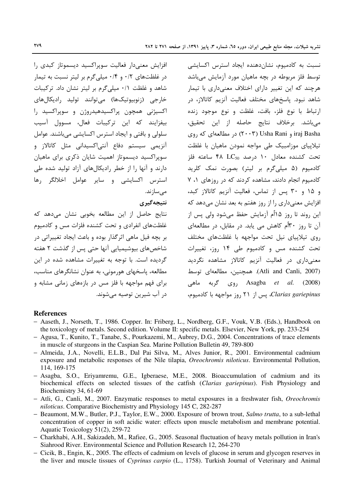افزايش معنى دار فعاليت سويراكسيد ديسموتاز كبدى ,ا در غلظتهای ۰/۲ و ۰/۴ میلی گرم بر لیتر نسبت به تیمار شاهد و غلظت ٠/١ میلی گرم بر لیتر نشان داد. ترکیبات خارجي (زنوبيوتيکها) مي توانند توليد راديکالهاي اکسیژنی همچون پراکسیدهیدروژن و سوپراکسید را بيفزايند كه اين تركيبات فعال، مسوول آسيب سلولی و بافتی و ایجاد استرس اکسایشی میباشند. عوامل آنزیمی سیستم دفاع آنتی|کسیدانی مثل کاتالاز و سوپراکسید دیسموتاز اهمیت شایان ذکری برای ماهیان دارند و آنها را از خطر رادیکالهای آزاد تولید شده طی استرس اکسایشی و سایر عوامل اخلالگر رها مى سازند.

نتيجەگيرى

نتايج حاصل از اين مطالعه بخوبي نشان مى دهد كه غلظتهای انفرادی و تحت کشنده فلزات مس و کادمیوم بر بچه فیل ماهی اثرگذار بوده و باعث ایجاد تغییراتی در شاخصهای بیوشیمیایی آنها حتی پس از گذشت ۲ هفته گردیده است. با توجه به تغییرات مشاهده شده در این مطالعه، پاسخهای هورمونی، به عنوان نشانگرهای مناسب، برای فهم مواجهه با فلز مس در بازههای زمانی مشابه و در آب شيرين توصيه مي شوند.

نسبت به کادمیوم، نشاندهنده ایجاد استرس اکسایشی توسط فلز مربوطه در بچه ماهیان مورد آزمایش می،باشد هرچند که این تغییر دارای اختلاف معنے داری با تیمار شاهد نبود. پاسخهای مختلف فعالیت آنزیم کاتالاز، در ارتباط با نوع فلز، بافت، غلظت و نوع موجود زنده مي باشد. برخلاف نتايج حاصله از اين تحقيق، iraj Basha و Usha Rani) در مطالعهای که روی تیلاییای موزامبیک طی مواجه نمودن ماهیان با غلظت تحت كشنده معادل ١٠ درصد 150 FA LC50 ساعته فلز کادمیوم (۵ میلیگرم بر لیتر) بصورت نمک کلرید كادميوم انجام دادند، مشاهده كردند كه در روزهاى ١، ٧ و ۱۵ و ۳۰ پس از تماس، فعالیت آنزیم کاتالاز کبد، افزایش معنیداری را از روز هفتم به بعد نشان می دهد که این روند تا روز ۱۵اٌم آزمایش حفظ میشود ولی پس از آن تا روز ۳۰ اُم کاهش می پابد. در مقابل، در مطالعهای روی تیلاپیای نیل تحت مواجهه با غلظتهای مختلف تحت کشنده مس و کادمیوم طی ۱۴ روز، تغییرات معنیداری در فعالیت آنزیم کاتالاز مشاهده نگردید (Atli and Canli, 2007). همچنین، مطالعهای توسط روی گربه ماهی (Asagba *et* al.  $(2008)$ Clarias gariepinus. پس از ٢١ روز مواجهه با كادميوم،

#### **References**

- Aaseth, J., Norseth, T., 1986. Copper. In: Friberg, L., Nordberg, G.F., Vouk, V.B. (Eds.), Handbook on the toxicology of metals. Second edition. Volume II: specific metals. Elsevier, New York, pp. 233-254
- Agusa, T., Kunito, T., Tanabe, S., Pourkazemi, M., Aubrey, D.G., 2004. Concentrations of trace elements in muscle of sturgeons in the Caspian Sea. Marine Pollution Bulletin 49, 789-800
- Almeida, J.A., Novelli, E.L.B., Dal Pai Silva, M., Alves Junior, R., 2001. Environmental cadmium exposure and metabolic responses of the Nile tilapia, *Oreochromis niloticus*. Environmental Pollution, 114, 169-175
- Asagba, S.O., Eriyamremu, G.E., Igberaese, M.E., 2008. Bioaccumulation of cadmium and its biochemical effects on selected tissues of the catfish (Clarias gariepinus). Fish Physiology and Biochemistry 34, 61-69
- Atli, G., Canli, M., 2007. Enzymatic responses to metal exposures in a freshwater fish, Oreochromis niloticus. Comparative Biochemistry and Physiology 145 C, 282-287
- Beaumont, M.W., Butler, P.J., Taylor, E.W., 2000. Exposure of brown trout, Salmo trutta, to a sub-lethal concentration of copper in soft acidic water: effects upon muscle metabolism and membrane potential. Aquatic Toxicology 51(2), 259-72
- Charkhabi, A.H., Sakizadeh, M., Rafiee, G., 2005. Seasonal fluctuation of heavy metals pollution in Iran's Siahrood River. Environmental Science and Pollution Research 12, 264-270
- Cicik, B., Engin, K., 2005. The effects of cadmium on levels of glucose in serum and glycogen reserves in the liver and muscle tissues of Cyprinus carpio (L., 1758). Turkish Journal of Veterinary and Animal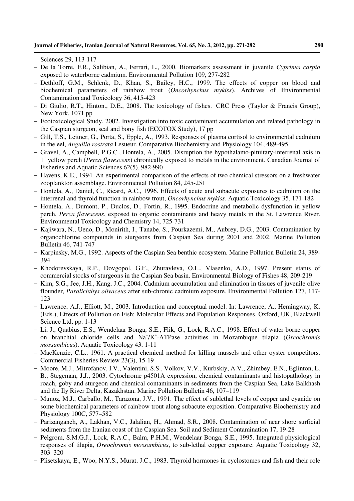Sciences 29, 113-117

- − De la Torre, F.R., Salibian, A., Ferrari, L., 2000. Biomarkers assessment in juvenile *Cyprinus carpio* exposed to waterborne cadmium. Environmental Pollution 109, 277-282
- − Dethloff, G.M., Schlenk, D., Khan, S., Bailey, H.C., 1999. The effects of copper on blood and biochemical parameters of rainbow trout (*Oncorhynchus mykiss*). Archives of Environmental Contamination and Toxicology 36, 415-423
- − Di Giulio, R.T., Hinton., D.E., 2008. The toxicology of fishes. CRC Press (Taylor & Francis Group), New York, 1071 pp
- − Ecotoxicological Study, 2002. Investigation into toxic contaminant accumulation and related pathology in the Caspian sturgeon, seal and bony fish (ECOTOX Study), 17 pp
- − Gill, T.S., Leitner, G., Porta, S., Epple, A., 1993. Responses of plasma cortisol to environmental cadmium in the eel, *Anguilla rostrata* Lesueur. Comparative Biochemistry and Physiology 104, 489-495
- − Gravel, A., Campbell, P.G.C., Hontela, A., 2005. Disruption the hypothalamo-pituitary-interrenal axis in 1 + yellow perch (*Perca flavescens*) chronically exposed to metals in the environment. Canadian Journal of Fisheries and Aquatic Sciences 62(5), 982-990
- − Havens, K.E., 1994. An experimental comparison of the effects of two chemical stressors on a freshwater zooplankton assemblage. Environmental Pollution 84, 245-251
- − Hontela, A., Daniel, C., Ricard, A.C., 1996. Effects of acute and subacute exposures to cadmium on the interrenal and thyroid function in rainbow trout, *Oncorhynchus mykiss*. Aquatic Toxicology 35, 171-182
- − Hontela, A., Dumont, P., Duclos, D., Fortin, R., 1995. Endocrine and metabolic dysfunction in yellow perch, *Perca flavescens*, exposed to organic contaminants and heavy metals in the St. Lawrence River. Environmental Toxicology and Chemistry 14, 725-731
- − Kajiwara, N., Ueno, D., Monirith, I., Tanabe, S., Pourkazemi, M., Aubrey, D.G., 2003. Contamination by organochlorine compounds in sturgeons from Caspian Sea during 2001 and 2002. Marine Pollution Bulletin 46, 741-747
- − Karpinsky, M.G., 1992. Aspects of the Caspian Sea benthic ecosystem. Marine Pollution Bulletin 24, 389- 394
- − Khodorevskaya, R.P., Dovgopol, G.F., Zhuravleva, O.L., Vlasenko, A.D., 1997. Present status of commercial stocks of sturgeons in the Caspian Sea basin. Environmental Biology of Fishes 48, 209-219
- − Kim, S.G., Jee, J.H., Kang, J.C., 2004. Cadmium accumulation and elimination in tissues of juvenile olive flounder, *Paralichthys olivaceus* after sub-chronic cadmium exposure. Environmental Pollution 127, 117- 123
- − Lawrence, A.J., Elliott, M., 2003. Introduction and conceptual model. In: Lawrence, A., Hemingway, K. (Eds.), Effects of Pollution on Fish: Molecular Effects and Population Responses. Oxford, UK, Blackwell Science Ltd, pp. 1-13
- − Li, J., Quabius, E.S., Wendelaar Bonga, S.E., Flik, G., Lock, R.A.C., 1998. Effect of water borne copper on branchial chloride cells and Na<sup>+</sup>/K<sup>+</sup>-ATPase activities in Mozambique tilapia (*Oreochromis mossambicus*). Aquatic Toxicology 43, 1-11
- − MacKenzie, C.L., 1961. A practical chemical method for killing mussels and other oyster competitors. Commercial Fisheries Review 23(3), 15-19
- − Moore, M.J., Mitrofanov, I.V., Valentini, S.S., Volkov, V.V., Kurbskiy, A.V., Zhimbey, E.N., Eglinton, L. B., Stegeman, J.J., 2003. Cytochrome p4501A expression, chemical contaminants and histopathology in roach, goby and sturgeon and chemical contaminants in sediments from the Caspian Sea, Lake Balkhash and the Ily River Delta, Kazakhstan. Marine Pollution Bulletin 46, 107–119
- − Munoz, M.J., Carballo, M., Tarazona, J.V., 1991. The effect of sublethal levels of copper and cyanide on some biochemical parameters of rainbow trout along subacute exposition. Comparative Biochemistry and Physiology 100C, 577–582
- − Parizanganeh, A., Lakhan, V.C., Jalalian, H., Ahmad, S.R., 2008. Contamination of near shore surficial sediments from the Iranian coast of the Caspian Sea. Soil and Sediment Contamination 17, 19-28
- − Pelgrom, S.M.G.J., Lock, R.A.C., Balm, P.H.M., Wendelaar Bonga, S.E., 1995. Integrated physiological responses of tilapia, *Oreochromis mossambicus*, to sub-lethal copper exposure. Aquatic Toxicology 32, 303–320
- − Plisetskaya, E., Woo, N.Y.S., Murat, J.C., 1983. Thyroid hormones in cyclostomes and fish and their role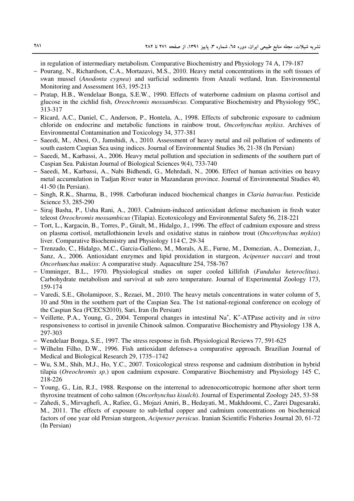in regulation of intermediary metabolism. Comparative Biochemistry and Physiology 74 A, 179-187

- − Pourang, N., Richardson, C.A., Mortazavi, M.S., 2010. Heavy metal concentrations in the soft tissues of swan mussel (*Anodonta cygnea*) and surficial sediments from Anzali wetland, Iran. Environmental Monitoring and Assessment 163, 195-213
- − Pratap, H.B., Wendelaar Bonga, S.E.W., 1990. Effects of waterborne cadmium on plasma cortisol and glucose in the cichlid fish, *Oreochromis mossambicus*. Comparative Biochemistry and Physiology 95C, 313-317
- − Ricard, A.C., Daniel, C., Anderson, P., Hontela, A., 1998. Effects of subchronic exposure to cadmium chloride on endocrine and metabolic functions in rainbow trout, *Oncorhynchus mykiss*. Archives of Environmental Contamination and Toxicology 34, 377-381
- − Saeedi, M., Abesi, O., Jamshidi, A., 2010. Assessment of heavy metal and oil pollution of sediments of south eastern Caspian Sea using indices. Journal of Environmental Studies 36, 21-38 (In Persian)
- − Saeedi, M., Karbassi, A., 2006. Heavy metal pollution and speciation in sediments of the southern part of Caspian Sea. Pakistan Journal of Biological Sciences 9(4), 733-740
- − Saeedi, M., Karbassi, A., Nabi Bidhendi, G., Mehrdadi, N., 2006. Effect of human activities on heavy metal accumulation in Tadjan River water in Mazandaran province. Journal of Environmental Studies 40, 41-50 (In Persian).
- − Singh, R.K., Sharma, B., 1998. Carbofuran induced biochemical changes in *Claria batrachus*. Pesticide Science 53, 285-290
- − Siraj Basha, P., Usha Rani, A., 2003. Cadmium-induced antioxidant defense mechanism in fresh water teleost *Oreochromis mossambicus* (Tilapia). Ecotoxicology and Environmental Safety 56, 218-221
- − Tort, L., Kargacin, B., Torres, P., Giralt, M., Hidalgo, J., 1996. The effect of cadmium exposure and stress on plasma cortisol, metallothionein levels and oxidative status in rainbow trout (*Oncorhynchus mykiss*) liver. Comparative Biochemistry and Physiology 114 C, 29-34
- − Trenzado, C., Hidalgo, M.C., Garcia-Galleno, M., Morals, A.E., Furne, M., Domezian, A., Domezian, J., Sanz, A., 2006. Antioxidant enzymes and lipid proxidation in sturgeon, *Acipenser naccari* and trout *Oncorhunchus mukiss*: A comparative study. Aquaculture 254, 758-767
- − Umminger, B.L., 1970. Physiological studies on super cooled killifish (*Fundulus heteroclitus)*. Carbohydrate metabolism and survival at sub zero temperature. Journal of Experimental Zoology 173, 159-174
- − Varedi, S.E., Gholamipoor, S., Rezaei, M., 2010. The heavy metals concentrations in water column of 5, 10 and 50m in the southern part of the Caspian Sea. The 1st national-regional conference on ecology of the Caspian Sea (FCECS2010), Sari, Iran (In Persian)
- − Veillette, P.A., Young, G., 2004. Temporal changes in intestinal Na<sup>+</sup> , K<sup>+</sup> -ATPase activity and *in vitro* responsiveness to cortisol in juvenile Chinook salmon. Comparative Biochemistry and Physiology 138 A, 297-303
- − Wendelaar Bonga, S.E., 1997. The stress response in fish. Physiological Reviews 77, 591-625
- − Wilhelm Filho, D.W., 1996. Fish antioxidant defenses-a comparative approach. Brazilian Journal of Medical and Biological Research 29, 1735–1742
- − Wu, S.M., Shih, M.J., Ho, Y.C., 2007. Toxicological stress response and cadmium distribution in hybrid tilapia (*Oreochromis sp*.) upon cadmium exposure. Comparative Biochemistry and Physiology 145 C, 218-226
- − Young, G., Lin, R.J., 1988. Response on the interrenal to adrenocorticotropic hormone after short term thyroxine treatment of coho salmon (*Oncorhynchus kisulch*). Journal of Experimental Zoology 245, 53-58
- − Zahedi, S., Mirvaghefi, A., Rafiee, G., Mojazi Amiri, B., Hedayati, M., Makhdoomi, C., Zarei Dagesaraki, M., 2011. The effects of exposure to sub-lethal copper and cadmium concentrations on biochemical factors of one year old Persian sturgeon, *Acipenser persicus*. Iranian Scientific Fisheries Journal 20, 61-72 (In Persian)